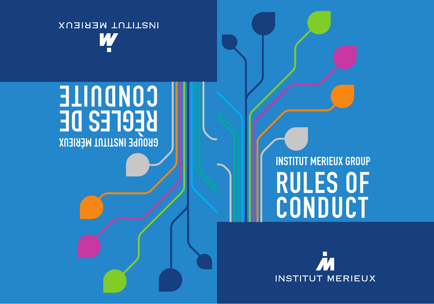# INSTITUT MERIEUX GROUP RULES OF CONDUCT

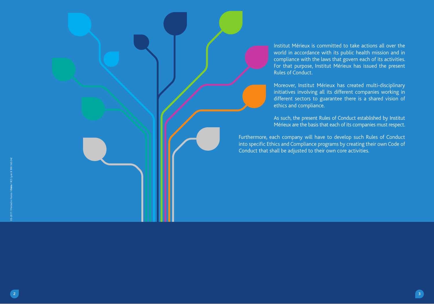Institut Mérieux is committed to take actions all over the world in accordance with its public health mission and in compliance with the laws that govern each of its activities. For that purpose, Institut Mérieux has issued the present Rules of Conduct.

Moreover, Institut Mérieux has created multi-disciplinary initiatives involving all its different companies working in different sectors to guarantee there is a shared vision of ethics and compliance.

As such, the present Rules of Conduct established by Institut Mérieux are the basis that each of its companies must respect.

Furthermore, each company will have to develop such Rules of Conduct into specific Ethics and Compliance programs by creating their own Code of Conduct that shall be adjusted to their own core activities.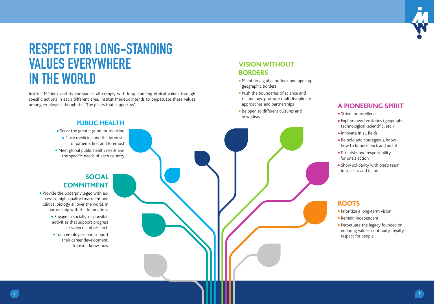

### RESPECT FOR LONG-STANDING VALUES EVERYWHERE IN THE WORLD

Institut Mérieux and its companies all comply with long-standing ethical values through specific actions in each different area. Institut Mérieux intends to perpetuate these values among employees though the "The pillars that support us".

#### **VISION WITHOUT BORDERS**

- Maintain a global outlook and open up geographic borders
- Push the boundaries of science and technology: promote multidisciplinary approaches and partnerships
- Be open to different cultures and new ideas

#### **A PIONEERING SPIRIT**

- Strive for excellence
- Explore new territories (geographic, technological, scientific, etc.)
- $\bullet$  Innovate in all fields
- Be bold and courageous, know how to bounce back and adapt
- Take risks and responsibility for one's action
- Show solidarity with one's team in success and failure

#### **ROOTS**

- Prioritize a long-term vision
- Remain independent
- Perpetuate the legacy founded on enduring values: continuity, loyalty, respect for people

#### **PUBLIC HEALTH**

- Serve the greater good for mankind ● Place medicine and the interests of patients first and foremost ● Meet global public health needs and
- the specific needs of each country

#### **SOCIAL COMMITMENT**

- Provide the underprivileged with access to high-quality treatment and clinical biology all over the world, in partnership with the foundations
	- Engage in socially-responsible activities that support progress in science and research
	- Train employees and support their career development, transmit know-how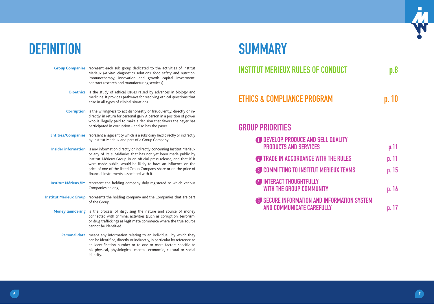### DEFINITION SUMMARY

- **Group Companies** represent each sub group dedicated to the activities of Institut Merieux (*In vitro* diagnostics solutions, food safety and nutrition, immunotherapy, innovation and growth capital investment, contract research and manufacturing services).
	- **Bioethics** is the study of ethical issues raised by advances in biology and medicine. It provides pathways for resolving ethical questions that arise in all types of clinical situations.
	- **Corruption** is the willingness to act dishonestly or fraudulently, directly or indirectly, in return for personal gain. A person in a position of power who is illegally paid to make a decision that favors the payer has participated in corruption - and so has the payer.
- **Entities/Companies** represent a legal entity which is a subsidiary held directly or indirectly by Institut Merieux and part of a Group Company.
- **Insider information** is any information directly or indirectly concerning Institut Mérieux or any of its subsidiaries that has not yet been made public by Institut Mérieux Group in an official press release, and that if it were made public, would be likely to have an influence on the price of one of the listed Group Company share or on the price of financial instruments associated with it.
- **Institut Mérieux/IM** represent the holding company duly registered to which various Companies belong.
- **Institut Mérieux Group** represents the holding company and the Companies that are part of the Group.
	- **Money laundering** is the process of disguising the nature and source of money connected with criminal activities (such as corruption, terrorism, or drug trafficking) as legitimate commerce where the true source cannot be identified.
		- **Personal data** means any information relating to an individual by which they can be identified, directly or indirectly, in particular by reference to an identification number or to one or more factors specific to his physical, physiological, mental, economic, cultural or social identity.

| INSTITUT MERIEUX RULES OF CONDUCT | p.8   |
|-----------------------------------|-------|
| ETHICS & COMPLIANCE PROGRAM       | p. 10 |

#### GROUP PRIORITIES

| <b>ODEVELOP, PRODUCE AND SELL QUALITY</b><br><b>PRODUCTS AND SERVICES</b>       | p.11  |
|---------------------------------------------------------------------------------|-------|
| TRADE IN ACCORDANCE WITH THE RULES                                              | p. 11 |
| <b>6 COMMITTING TO INSTITUT MERIEUX TEAMS</b>                                   | p. 15 |
| <b>4 INTERACT THOUGHTFULLY</b><br><b>WITH THE GROUP COMMUNITY</b>               | p. 16 |
| <b>6 SECURE INFORMATION AND INFORMATION SYSTEM</b><br>AND COMMUNICATE CAREFULLY | n 17  |

 $\Box$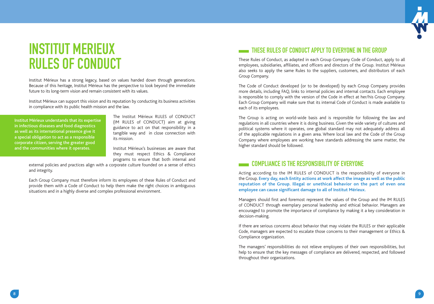

### INSTITUT MERIEUX RULES OF CONDUCT

Institut Mérieux has a strong legacy, based on values handed down through generations. Because of this heritage, Institut Mérieux has the perspective to look beyond the immediate future to its long-term vision and remain consistent with its values.

Institut Mérieux can support this vision and its reputation by conducting its business activities in compliance with its public health mission and the law.

Institut Mérieux understands that its expertise in infectious diseases and food diagnostics as well as its international presence give it a special obligation to act as a responsible corporate citizen, serving the greater good and the communities where it operates.

The Institut Mérieux RULES of CONDUCT (IM RULES of CONDUCT) aim at giving guidance to act on that responsibility in a tangible way and in close connection with its mission.

Institut Mérieux's businesses are aware that they must respect Ethics & Compliance programs to ensure that both internal and

external policies and practices align with a corporate culture founded on a sense of ethics and integrity.

Each Group Company must therefore inform its employees of these Rules of Conduct and provide them with a Code of Conduct to help them make the right choices in ambiguous situations and in a highly diverse and complex professional environment.

#### THESE RULES OF CONDUCT APPLY TO EVERYONE IN THE GROUP

These Rules of Conduct, as adapted in each Group Company Code of Conduct, apply to all employees, subsidiaries, affiliates, and officers and directors of the Group. Institut Mérieux also seeks to apply the same Rules to the suppliers, customers, and distributors of each Group Company.

The Code of Conduct developed (or to be developed) by each Group Company provides more details, including FAQ, links to internal policies and internal contacts. Each employee is responsible to comply with the version of the Code in effect at her/his Group Company. Each Group Company will make sure that its internal Code of Conduct is made available to each of its employees.

The Group is acting on world-wide basis and is responsible for following the law and regulations in all countries where it is doing business. Given the wide variety of cultures and political systems where it operates, one global standard may not adequately address all of the applicable regulations in a given area. Where local law and the Code of the Group Company where employees are working have standards addressing the same matter, the higher standard should be followed.

#### COMPLIANCE IS THE RESPONSIBILITY OF EVERYONE

Acting according to the IM RULES of CONDUCT is the responsibility of everyone in the Group. **Every day, each Entity actions at work affect the image as well as the public reputation of the Group. Illegal or unethical behavior on the part of even one employee can cause significant damage to all of Institut Mérieux.** 

Managers should first and foremost represent the values of the Group and the IM RULES of CONDUCT through exemplary personal leadership and ethical behavior. Managers are encouraged to promote the importance of compliance by making it a key consideration in decision-making.

If there are serious concerns about behavior that may violate the RULES or their applicable Code, managers are expected to escalate those concerns to their management or Ethics & Compliance organization.

The managers' responsibilities do not relieve employees of their own responsibilities, but help to ensure that the key messages of compliance are delivered, respected, and followed throughout their organizations.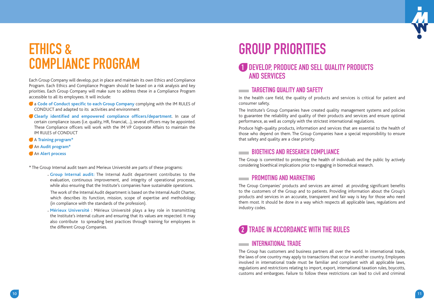

### ETHICS & COMPLIANCE PROGRAM

Each Group Company will develop, put in place and maintain its own Ethics and Compliance Program. Each Ethics and Compliance Program should be based on a risk analysis and key priorities. Each Group Company will make sure to address these in a Compliance Program accessible to all its employees. It will include:

- **a** Code of Conduct specific to each Group Company complying with the IM RULES of CONDUCT and adapted to its activities and environment
- Clearly identified and empowered compliance officers/department. In case of certain compliance issues (i.e. quality, HR, financial, ..), several officers may be appointed. These Compliance officers will work with the IM VP Corporate Affairs to maintain the IM RULES of CONDUCT
- <sup>A</sup>**Training program\***
- An **Audit program\***
- An **Alert process**

\* The Group Internal audit team and Merieux Université are parts of these programs:

 - **Group Internal audit:** The Internal Audit department contributes to the evaluation, continuous improvement, and integrity of operational processes, while also ensuring that the Institute's companies have sustainable operations.

 The work of the Internal Audit department is based on the Internal Audit Charter, which describes its function, mission, scope of expertise and methodology (in compliance with the standards of the profession).

 - **Mérieux Université** : Mérieux Université plays a key role in transmitting the Institute's internal culture and ensuring that its values are respected. It may also contribute to spreading best practices through training for employees in the different Group Companies.

## GROUP PRIORITIES

#### 1 DEVELOP, PRODUCE AND SELL QUALITY PRODUCTS AND SERVICES

#### **EXAMPLE TARGETING QUALITY AND SAFETY**

In the health care field, the quality of products and services is critical for patient and consumer safety.

The Institute's Group Companies have created quality management systems and policies to guarantee the reliability and quality of their products and services and ensure optimal performance, as well as comply with the strictest international regulations.

Produce high-quality products, information and services that are essential to the health of those who depend on them. The Group Companies have a special responsibility to ensure that safety and quality are a clear priority.

#### **EXECUTE PRIOFTHICS AND RESEARCH COMPLIANCE**

The Group is committed to protecting the health of individuals and the public by actively considering bioethical implications prior to engaging in biomedical research.

#### **EXAMPLE AND MARKETING**

The Group Companies' products and services are aimed at providing significant benefits to the customers of the Group and to patients. Providing information about the Group's products and services in an accurate, transparent and fair way is key for those who need them most. It should be done in a way which respects all applicable laws, regulations and industry codes.

### 2 TRADE IN ACCORDANCE WITH THE RULES

#### INTERNATIONAL TRADE

The Group has customers and business partners all over the world. In international trade, the laws of one country may apply to transactions that occur in another country. Employees involved in international trade must be familiar and compliant with all applicable laws, regulations and restrictions relating to import, export, international taxation rules, boycotts, customs and embargoes. Failure to follow these restrictions can lead to civil and criminal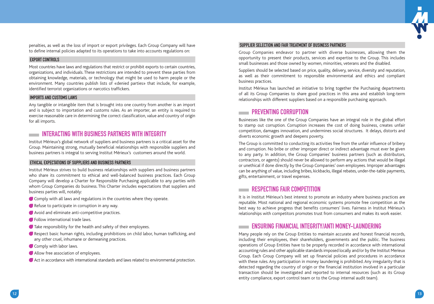

penalties, as well as the loss of import or export privileges. Each Group Company will have to define internal policies adapted to its operations to take into accounts regulations on:

#### EXPORT CONTROLS

Most countries have laws and regulations that restrict or prohibit exports to certain countries, organizations, and individuals. These restrictions are intended to prevent these parties from obtaining knowledge, materials, or technology that might be used to harm people or the environment. Many countries publish lists of «denied parties» that include, for example, identified terrorist organizations or narcotics traffickers.

#### IMPORTS AND CUSTOMS LAWS

Any tangible or intangible item that is brought into one country from another is an import and is subject to importation and customs rules. As an importer, an entity is required to exercise reasonable care in determining the correct classification, value and country of origin for all imports.

#### INTERACTING WITH BUSINESS PARTNERS WITH INTEGRITY

Institut Mérieux's global network of suppliers and business partners is a critical asset for the Group. Maintaining strong, mutually beneficial relationships with responsible suppliers and business partners is integral to serving Institut Mérieux's customers around the world.

#### ETHICAL EXPECTATIONS OF SUPPLIERS AND BUSINESS PARTNERS

Institut Mérieux strives to build business relationships with suppliers and business partners who share its commitment to ethical and well-balanced business practices. Each Group Company will develop a Charter for Responsible Purchasing applicable to any parties with whom Group Companies do business. This Charter includes expectations that suppliers and business parties will, notably:

- Comply with all laws and regulations in the countries where they operate.
- Refuse to participate in corruption in any way.
- Avoid and eliminate anti-competitive practices.
- **Follow international trade laws.**
- Take responsibility for the health and safety of their employees.
- Respect basic human rights, including prohibitions on child labor, human trafficking, and any other cruel, inhumane or demeaning practices.
- Comply with labor laws.
- Allow free association of employees.
- Act in accordance with international standards and laws related to environmental protection.

#### SUPPLIER SELECTION AND FAIR TREATMENT OF BUSINESS PARTNERS

Group Companies endeavor to partner with diverse businesses, allowing them the opportunity to present their products, services and expertise to the Group. This includes small businesses and those owned by women, minorities, veterans and the disabled.

Suppliers should be selected based on price, quality, delivery, service, diversity and reputation, as well as their commitment to responsible environmental and ethics and compliant business practices.

Institut Mérieux has launched an initiative to bring together the Purchasing departments of all its Group Companies to share good practices in this area and establish long-term relationships with different suppliers based on a responsible purchasing approach.

#### **EXAMPLE PREVENTING CORRIPTION**

Businesses like the one of the Group Companies have an integral role in the global effort to stamp out corruption. Corruption increases the cost of doing business, creates unfair competition, damages innovation, and undermines social structures. It delays, distorts and diverts economic growth and deepens poverty.

The Group is committed to conducting its activities free from the unfair influence of bribery and corruption. No bribe or other improper direct or indirect advantage must ever be given to any party. In addition, the Group Companies' business partners (such as distributors, contractors, or agents) should never be allowed to perform any actions that would be illegal or unethical if done directly by the Group Companies' own employees. Improper advantages can be anything of value, including bribes, kickbacks, illegal rebates, under-the-table payments, gifts, entertainment, or travel expenses.

#### **RESPECTING FAIR COMPETITION**

It is in Institut Mérieux's best interest to promote an industry where business practices are reputable. Most national and regional economic systems promote free competition as the best way to achieve progress that benefits consumers' lives. Fairness in Institut Mérieux's relationships with competitors promotes trust from consumers and makes its work easier.

#### ENSURING FINANCIAL INTEGRITY/ANTI MONEY-LAUNDERING

Many people rely on the Group Entities to maintain accurate and honest financial records, including their employees, their shareholders, governments and the public. The business operations of Group Entities have to be properly recorded in accordance with international accounting rules and other applicable standards imposed locally and/or by the Institut Merieux Group. Each Group Company will set up financial policies and procedures in accordance with these rules. Any participation in money laundering is prohibited. Any irregularity that is detected regarding the country of origin or the financial institution involved in a particular transaction should be investigated and reported to internal resources (such as its Group entity compliance, export control team or to the Group internal audit team).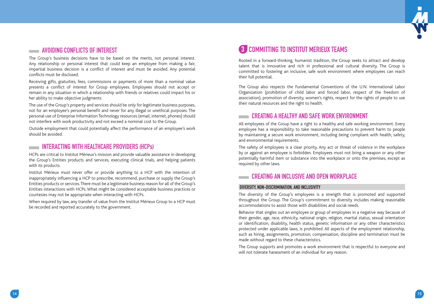

#### AVOIDING CONFLICTS OF INTEREST

The Group's business decisions have to be based on the merits, not personal interest. Any relationship or personal interest that could keep an employee from making a fair, impartial business decision is a conflict of interest and must be avoided. Any potential conflicts must be disclosed.

Receiving gifts, gratuities, fees, commissions or payments of more than a nominal value presents a conflict of interest for Group employees. Employees should not accept or remain in any situation in which a relationship with friends or relatives could impact his or her ability to make objective judgments

The use of the Group's property and services should be only for legitimate business purposes, not for an employee's personal benefit and never for any illegal or unethical purposes. The personal use of Enterprise Information Technology resources (email, internet, phones) should not interfere with work productivity and not exceed a nominal cost to the Group.

Outside employment that could potentially affect the performance of an employee's work should be avoided.

#### **INTERACTING WITH HEALTHCARE PROVIDERS (HCPs)**

HCPs are critical to Institut Mérieux's mission and provide valuable assistance in developing the Group's Entities products and services, executing clinical trials, and helping patients with its products.

Institut Mérieux must never offer or provide anything to a HCP with the intention of inappropriately influencing a HCP to prescribe, recommend, purchase or supply the Group's Entities products or services. There must be a legitimate business reason for all of the Group's Entities interactions with HCPs. What might be considered acceptable business practices or courtesies may not be appropriate when interacting with HCPs.

When required by law, any transfer of value from the Institut Mérieux Group to a HCP must be recorded and reported accurately to the government.

#### **43 COMMITTING TO INSTITUT MERIEUX TEAMS**

Rooted in a forward-thinking, humanist tradition, the Group seeks to attract and develop talent that is innovative and rich in professional and cultural diversity. The Group is committed to fostering an inclusive, safe work environment where employees can reach their full potential.

The Group also respects the Fundamental Conventions of the U.N. International Labor Organization (prohibition of child labor and forced labor, respect of the freedom of association), promotion of diversity, women's rights, respect for the rights of people to use their natural resources and the right to health.

#### **CREATING A HEALTHY AND SAFF WORK ENVIRONMENT**

All employees of the Group have a right to a healthy and safe working environment. Every employee has a responsibility to take reasonable precautions to prevent harm to people by maintaining a secure work environment, including being compliant with health, safety, and environmental requirements.

The safety of employees is a clear priority. Any act or threat of violence in the workplace by or against an employee is forbidden. Employees must not bring a weapon or any other potentially harmful item or substance into the workplace or onto the premises, except as required by other laws.

#### **EXECUTIVE AN INCLUSIVE AND OPEN WORKPLACE**

#### DIVERSITY, NON-DISCRIMINATION, AND INCLUSIVITY

The diversity of the Group's employees is a strength that is promoted and supported throughout the Group. The Group's commitment to diversity includes making reasonable accommodations to assist those with disabilities and social needs.

Behavior that singles out an employee or group of employees in a negative way because of their gender, age, race, ethnicity, national origin, religion, marital status, sexual orientation or identification, disability, health status, genetic information or any other characteristics protected under applicable laws, is prohibited. All aspects of the employment relationship, such as hiring, assignments, promotion, compensation, discipline and termination must be made without regard to these characteristics.

The Group supports and promotes a work environment that is respectful to everyone and will not tolerate harassment of an individual for any reason.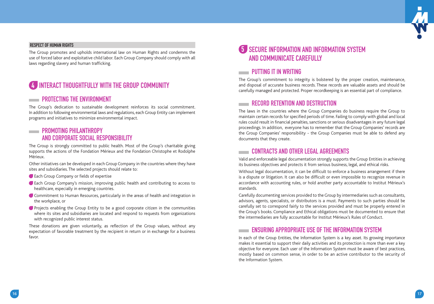

#### RESPECT OF HUMAN RIGHTS

The Group promotes and upholds international law on Human Rights and condemns the use of forced labor and exploitative child labor. Each Group Company should comply with all laws regarding slavery and human trafficking.

#### INTERACT THOUGHTFULLY WITH THE GROUP COMMUNITY

#### PROTECTING THE ENVIRONMENT

The Group's dedication to sustainable development reinforces its social commitment. In addition to following environmental laws and regulations, each Group Entity can implement programs and initiatives to minimize environmental impact.

#### **EXAMPLE PROMOTING PHILANTHROPY** AND CORPORATE SOCIAL RESPONSIBILITY

The Group is strongly committed to public health. Most of the Group's charitable giving supports the actions of the Fondation Mérieux and the Fondation Christophe et Rodolphe Mérieux.

Other initiatives can be developed in each Group Company in the countries where they have sites and subsidiaries. The selected projects should relate to:

- Each Group Company or fields of expertise
- Each Group Company's mission, improving public health and contributing to access to healthcare, especially in emerging countries.
- Commitment to Human Resources, particularly in the areas of health and integration in the workplace, or
- Projects enabling the Group Entity to be a good corporate citizen in the communities where its sites and subsidiaries are located and respond to requests from organizations with recognized public interest status.

These donations are given voluntarily, as reflection of the Group values, without any expectation of favorable treatment by the recipient in return or in exchange for a business favor.

#### 5 SECURE INFORMATION AND INFORMATION SYSTEM AND COMMUNICATE CAREFULLY

#### **EXAMPLE PUTTING IT IN WRITING**

The Group's commitment to integrity is bolstered by the proper creation, maintenance, and disposal of accurate business records. These records are valuable assets and should be carefully managed and protected. Proper recordkeeping is an essential part of compliance.

#### **EXECUTE RECORD RETENTION AND DESTRUCTION**

The laws in the countries where the Group Companies do business require the Group to maintain certain records for specified periods of time. Failing to comply with global and local rules could result in financial penalties, sanctions or serious disadvantages in any future legal proceedings. In addition, everyone has to remember that the Group Companies' records are the Group Companies' responsibility - the Group Companies must be able to defend any documents that they create.

#### **EXAMPLE CONTRACTS AND OTHER LEGAL AGREEMENTS**

Valid and enforceable legal documentation strongly supports the Group Entities in achieving its business objectives and protects it from serious business, legal, and ethical risks.

Without legal documentation, it can be difficult to enforce a business arrangement if there is a dispute or litigation. It can also be difficult or even impossible to recognize revenue in accordance with accounting rules, or hold another party accountable to Institut Mérieux's standards.

Carefully documenting services provided to the Group by intermediaries such as consultants, advisors, agents, specialists, or distributors is a must. Payments to such parties should be carefully set to correspond fairly to the services provided and must be properly entered in the Group's books. Compliance and Ethical obligations must be documented to ensure that the intermediaries are fully accountable for Institut Mérieux's Rules of Conduct.

#### ENSURING APPROPRIATE USE OF THE INFORMATION SYSTEM

In each of the Group Entities, the Information System is a key asset. Its growing importance makes it essential to support their daily activities and its protection is more than ever a key objective for everyone. Each user of the Information System must be aware of best practices, mostly based on common sense, in order to be an active contributor to the security of the Information System.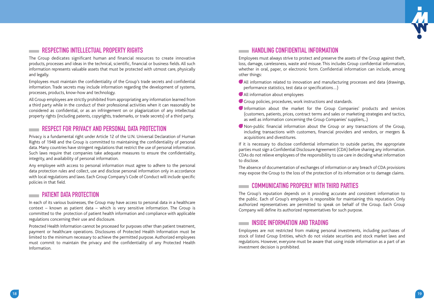

#### *RESPECTING INTELLECTUAL PROPERTY RIGHTS*

The Group dedicates significant human and financial resources to create innovative products, processes and ideas in the technical, scientific, financial or business fields. All such information represents valuable assets that must be protected with utmost care, physically and legally.

Employees must maintain the confidentiality of the Group's trade secrets and confidential information. Trade secrets may include information regarding the development of systems, processes, products, know-how and technology.

All Group employees are strictly prohibited from appropriating any information learned from a third party while in the conduct of their professional activities when it can reasonably be considered as confidential, or as an infringement on or plagiarization of any intellectual property rights (including patents, copyrights, trademarks, or trade secrets) of a third party.

#### RESPECT FOR PRIVACY AND PERSONAL DATA PROTECTION

Privacy is a fundamental right under Article 12 of the U.N. Universal Declaration of Human Rights of 1948 and the Group is committed to maintaining the confidentiality of personal data. Many countries have stringent regulations that restrict the use of personal information. Such laws require that companies take adequate measures to ensure the confidentiality, integrity, and availability of personal information.

Any employee with access to personal information must agree to adhere to the personal data protection rules and collect, use and disclose personal information only in accordance with local regulations and laws. Each Group Company's Code of Conduct will include specific policies in that field.

#### **PATIENT DATA PROTECTION**

In each of its various businesses, the Group may have access to personal data in a healthcare context – known as patient data – which is very sensitive information. The Group is committed to the protection of patient health information and compliance with applicable regulations concerning their use and disclosure.

Protected Health Information cannot be processed for purposes other than patient treatment, payment or healthcare operations. Disclosures of Protected Health Information must be limited to the minimum necessary to achieve the permitted purpose. Authorized employees must commit to maintain the privacy and the confidentiality of any Protected Health Information.

#### **EXAMPLE ING CONFIDENTIAL INFORMATION**

Employees must always strive to protect and preserve the assets of the Group against theft, loss, damage, carelessness, waste and misuse. This includes Group confidential information, whether in oral, paper, or electronic form. Confidential information can include, among other things:

- All information related to innovation and manufacturing processes and data (drawings, performance statistics, test data or specifications...)
- All information about employees
- Group policies, procedures, work instructions and standards.
- Information about the market for the Group Companies' products and services (customers, patients, prices, contract terms and sales or marketing strategies and tactics, as well as information concerning the Group Companies' suppliers,..)
- Non-public fi nancial information about the Group or any transactions of the Group, including transactions with customers, financial providers and vendors, or mergers & acquisitions and divestitures.

If it is necessary to disclose confidential information to outside parties, the appropriate parties must sign a Confidential Disclosure Agreement (CDA) before sharing any information. CDAs do not relieve employees of the responsibility to use care in deciding what information to disclose.

The absence of documentation of exchanges of information or any breach of CDA provisions may expose the Group to the loss of the protection of its information or to damage claims.

#### COMMUNICATING PROPERLY WITH THIRD PARTIES

The Group's reputation depends on it providing accurate and consistent information to the public. Each of Group's employee is responsible for maintaining this reputation. Only authorized representatives are permitted to speak on behalf of the Group. Each Group Company will define its authorized representatives for such purpose.

#### **EXAMPLE INSIDE INFORMATION AND TRADING**

Employees are not restricted from making personal investments, including purchases of stock of listed Group Entities, which do not violate securities and stock market laws and regulations. However, everyone must be aware that using inside information as a part of an investment decision is prohibited.